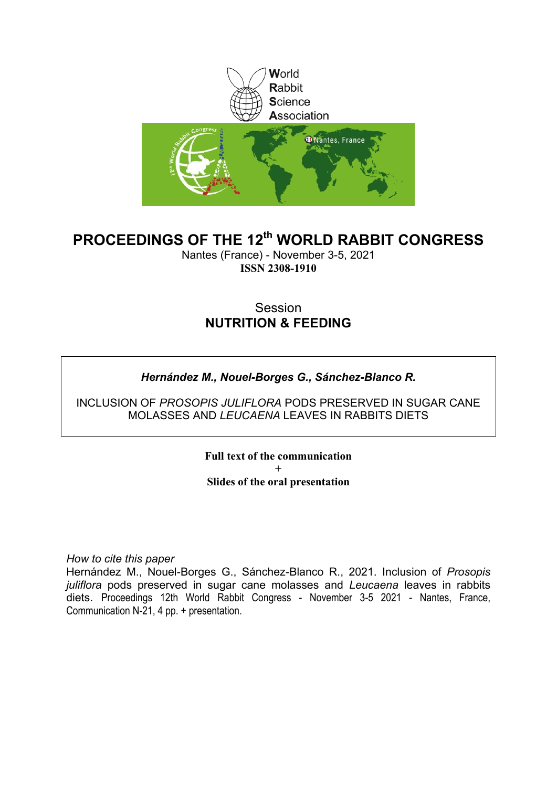

### **PROCEEDINGS OF THE 12th WORLD RABBIT CONGRESS**

Nantes (France) - November 3-5, 2021 **ISSN 2308-1910**

### Session **NUTRITION & FEEDING**

### *Hernández M., Nouel-Borges G., Sánchez-Blanco R.*

INCLUSION OF *PROSOPIS JULIFLORA* PODS PRESERVED IN SUGAR CANE MOLASSES AND *LEUCAENA* LEAVES IN RABBITS DIETS

> **Full text of the communication + Slides of the oral presentation**

*How to cite this paper*

Hernández M., Nouel-Borges G., Sánchez-Blanco R., 2021. Inclusion of *Prosopis juliflora* pods preserved in sugar cane molasses and *Leucaena* leaves in rabbits diets. Proceedings 12th World Rabbit Congress - November 3-5 2021 - Nantes, France, Communication N-21, 4 pp. + presentation.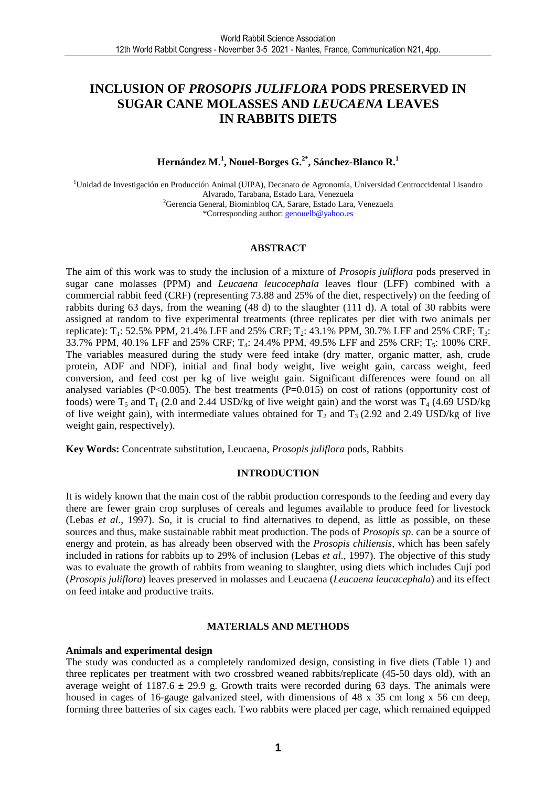### **INCLUSION OF** *PROSOPIS JULIFLORA* **PODS PRESERVED IN SUGAR CANE MOLASSES AND** *LEUCAENA* **LEAVES IN RABBITS DIETS**

#### **Hernández M.<sup>1</sup> , Nouel-Borges G.2\*, Sánchez-Blanco R.<sup>1</sup>**

<sup>1</sup>Unidad de Investigación en Producción Animal (UIPA), Decanato de Agronomía, Universidad Centroccidental Lisandro Alvarado, Tarabana, Estado Lara, Venezuela <sup>2</sup>Gerencia General, Biominbloq CA, Sarare, Estado Lara, Venezuela \*Corresponding author: genouelb@yahoo.es

#### **ABSTRACT**

The aim of this work was to study the inclusion of a mixture of *Prosopis juliflora* pods preserved in sugar cane molasses (PPM) and *Leucaena leucocephala* leaves flour (LFF) combined with a commercial rabbit feed (CRF) (representing 73.88 and 25% of the diet, respectively) on the feeding of rabbits during 63 days, from the weaning (48 d) to the slaughter (111 d). A total of 30 rabbits were assigned at random to five experimental treatments (three replicates per diet with two animals per replicate):  $T_1$ : 52.5% PPM, 21.4% LFF and 25% CRF;  $T_2$ : 43.1% PPM, 30.7% LFF and 25% CRF;  $T_3$ : 33.7% PPM, 40.1% LFF and 25% CRF; T<sub>4</sub>: 24.4% PPM, 49.5% LFF and 25% CRF; T<sub>5</sub>: 100% CRF. The variables measured during the study were feed intake (dry matter, organic matter, ash, crude protein, ADF and NDF), initial and final body weight, live weight gain, carcass weight, feed conversion, and feed cost per kg of live weight gain. Significant differences were found on all analysed variables ( $P<0.005$ ). The best treatments ( $P=0.015$ ) on cost of rations (opportunity cost of foods) were  $T_5$  and  $T_1$  (2.0 and 2.44 USD/kg of live weight gain) and the worst was  $T_4$  (4.69 USD/kg of live weight gain), with intermediate values obtained for  $T_2$  and  $T_3$  (2.92 and 2.49 USD/kg of live weight gain, respectively).

**Key Words:** Concentrate substitution, Leucaena, *Prosopis juliflora* pods, Rabbits

#### **INTRODUCTION**

It is widely known that the main cost of the rabbit production corresponds to the feeding and every day there are fewer grain crop surpluses of cereals and legumes available to produce feed for livestock (Lebas *et al.,* 1997). So, it is crucial to find alternatives to depend, as little as possible, on these sources and thus, make sustainable rabbit meat production. The pods of *Prosopis sp*. can be a source of energy and protein, as has already been observed with the *Prosopis chiliensis,* which has been safely included in rations for rabbits up to 29% of inclusion (Lebas *et al.,* 1997). The objective of this study was to evaluate the growth of rabbits from weaning to slaughter, using diets which includes Cují pod (*Prosopis juliflora*) leaves preserved in molasses and Leucaena (*Leucaena leucacephala*) and its effect on feed intake and productive traits.

#### **MATERIALS AND METHODS**

#### **Animals and experimental design**

The study was conducted as a completely randomized design, consisting in five diets (Table 1) and three replicates per treatment with two crossbred weaned rabbits/replicate (45-50 days old), with an average weight of 1187.6  $\pm$  29.9 g. Growth traits were recorded during 63 days. The animals were housed in cages of 16-gauge galvanized steel, with dimensions of 48 x 35 cm long x 56 cm deep, forming three batteries of six cages each. Two rabbits were placed per cage, which remained equipped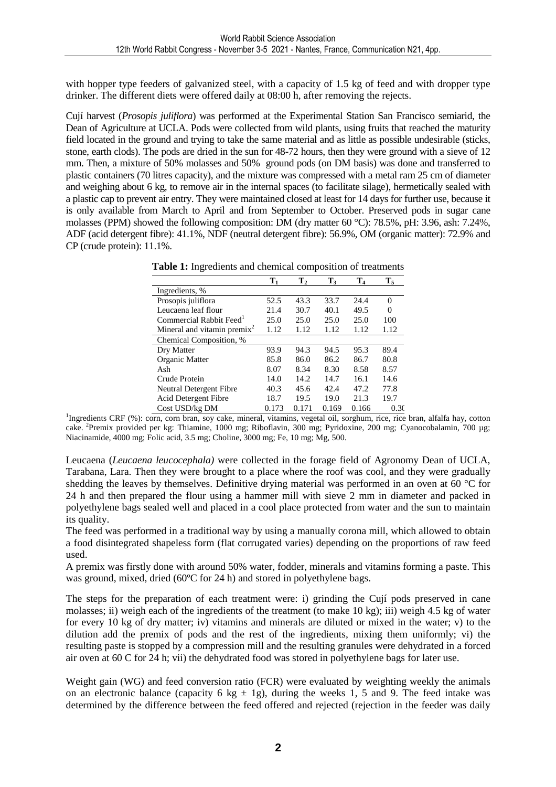with hopper type feeders of galvanized steel, with a capacity of 1.5 kg of feed and with dropper type drinker. The different diets were offered daily at 08:00 h, after removing the rejects.

Cují harvest (*Prosopis juliflora*) was performed at the Experimental Station San Francisco semiarid, the Dean of Agriculture at UCLA. Pods were collected from wild plants, using fruits that reached the maturity field located in the ground and trying to take the same material and as little as possible undesirable (sticks, stone, earth clods). The pods are dried in the sun for 48-72 hours, then they were ground with a sieve of 12 mm. Then, a mixture of 50% molasses and 50% ground pods (on DM basis) was done and transferred to plastic containers (70 litres capacity), and the mixture was compressed with a metal ram 25 cm of diameter and weighing about 6 kg, to remove air in the internal spaces (to facilitate silage), hermetically sealed with a plastic cap to prevent air entry. They were maintained closed at least for 14 days for further use, because it is only available from March to April and from September to October. Preserved pods in sugar cane molasses (PPM) showed the following composition: DM (dry matter 60 °C): 78.5%, pH: 3.96, ash: 7.24%, ADF (acid detergent fibre): 41.1%, NDF (neutral detergent fibre): 56.9%, OM (organic matter): 72.9% and CP (crude protein): 11.1%.

|                                         | $\mathbf{T}_1$ | $\mathbf{T}_2$ | $\mathbf{T}_3$ | $\mathbf{T}_4$ | $\mathbf{T}_5$ |
|-----------------------------------------|----------------|----------------|----------------|----------------|----------------|
| Ingredients, %                          |                |                |                |                |                |
| Prosopis juliflora                      | 52.5           | 43.3           | 33.7           | 24.4           | $\Omega$       |
| Leucaena leaf flour                     | 21.4           | 30.7           | 40.1           | 49.5           | 0              |
| Commercial Rabbit Feed <sup>1</sup>     | 25.0           | 25.0           | 25.0           | 25.0           | 100            |
| Mineral and vitamin premix <sup>2</sup> | 1.12           | 1.12           | 1.12           | 1.12           | 1.12           |
| Chemical Composition, %                 |                |                |                |                |                |
| Dry Matter                              | 93.9           | 94.3           | 94.5           | 95.3           | 89.4           |
| Organic Matter                          | 85.8           | 86.0           | 86.2           | 86.7           | 80.8           |
| Ash                                     | 8.07           | 8.34           | 8.30           | 8.58           | 8.57           |
| Crude Protein                           | 14.0           | 14.2           | 14.7           | 16.1           | 14.6           |
| Neutral Detergent Fibre                 | 40.3           | 45.6           | 42.4           | 47.2           | 77.8           |
| Acid Detergent Fibre                    | 18.7           | 19.5           | 19.0           | 21.3           | 19.7           |
| Cost USD/kg DM                          | 0.173          | 0.171          | 0.169          | 0.166          | 0.30           |

**Table 1:** Ingredients and chemical composition of treatments

<sup>1</sup>Ingredients CRF (%): corn, corn bran, soy cake, mineral, vitamins, vegetal oil, sorghum, rice, rice bran, alfalfa hay, cotton cake. <sup>2</sup>Premix provided per kg: Thiamine, 1000 mg; Riboflavin, 300 mg; Pyridoxine, 200 mg; Cyanocobalamin, 700 µg; Niacinamide, 4000 mg; Folic acid, 3.5 mg; Choline, 3000 mg; Fe, 10 mg; Mg, 500.

Leucaena (*Leucaena leucocephala)* were collected in the forage field of Agronomy Dean of UCLA, Tarabana, Lara. Then they were brought to a place where the roof was cool, and they were gradually shedding the leaves by themselves. Definitive drying material was performed in an oven at 60 °C for 24 h and then prepared the flour using a hammer mill with sieve 2 mm in diameter and packed in polyethylene bags sealed well and placed in a cool place protected from water and the sun to maintain its quality.

The feed was performed in a traditional way by using a manually corona mill, which allowed to obtain a food disintegrated shapeless form (flat corrugated varies) depending on the proportions of raw feed used.

A premix was firstly done with around 50% water, fodder, minerals and vitamins forming a paste. This was ground, mixed, dried (60ºC for 24 h) and stored in polyethylene bags.

The steps for the preparation of each treatment were: i) grinding the Cují pods preserved in cane molasses; ii) weigh each of the ingredients of the treatment (to make 10 kg); iii) weigh 4.5 kg of water for every 10 kg of dry matter; iv) vitamins and minerals are diluted or mixed in the water; v) to the dilution add the premix of pods and the rest of the ingredients, mixing them uniformly; vi) the resulting paste is stopped by a compression mill and the resulting granules were dehydrated in a forced air oven at 60 C for 24 h; vii) the dehydrated food was stored in polyethylene bags for later use.

Weight gain (WG) and feed conversion ratio (FCR) were evaluated by weighting weekly the animals on an electronic balance (capacity 6 kg  $\pm$  1g), during the weeks 1, 5 and 9. The feed intake was determined by the difference between the feed offered and rejected (rejection in the feeder was daily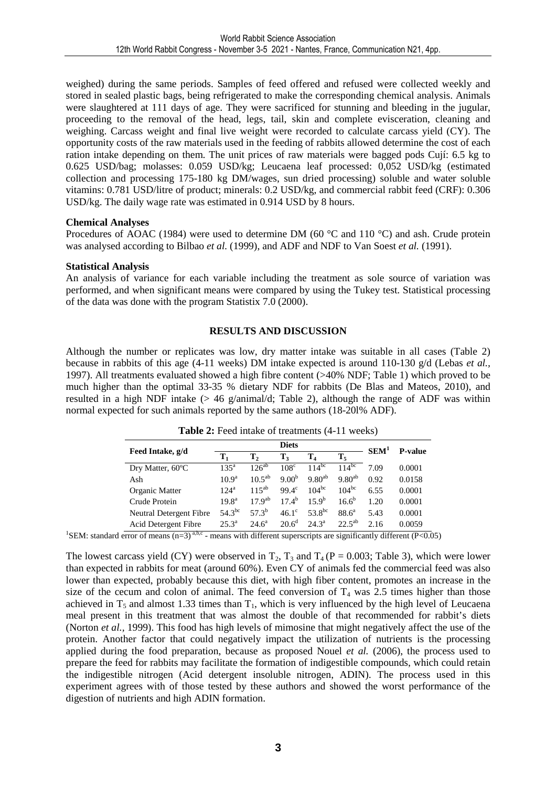weighed) during the same periods. Samples of feed offered and refused were collected weekly and stored in sealed plastic bags, being refrigerated to make the corresponding chemical analysis. Animals were slaughtered at 111 days of age. They were sacrificed for stunning and bleeding in the jugular, proceeding to the removal of the head, legs, tail, skin and complete evisceration, cleaning and weighing. Carcass weight and final live weight were recorded to calculate carcass yield (CY). The opportunity costs of the raw materials used in the feeding of rabbits allowed determine the cost of each ration intake depending on them. The unit prices of raw materials were bagged pods Cují: 6.5 kg to 0.625 USD/bag; molasses: 0.059 USD/kg; Leucaena leaf processed: 0,052 USD/kg (estimated collection and processing 175-180 kg DM/wages, sun dried processing) soluble and water soluble vitamins: 0.781 USD/litre of product; minerals: 0.2 USD/kg, and commercial rabbit feed (CRF): 0.306 USD/kg. The daily wage rate was estimated in 0.914 USD by 8 hours.

#### **Chemical Analyses**

Procedures of AOAC (1984) were used to determine DM (60 °C and 110 °C) and ash. Crude protein was analysed according to Bilbao *et al.* (1999), and ADF and NDF to Van Soest *et al.* (1991).

#### **Statistical Analysis**

An analysis of variance for each variable including the treatment as sole source of variation was performed, and when significant means were compared by using the Tukey test. Statistical processing of the data was done with the program Statistix 7.0 (2000).

#### **RESULTS AND DISCUSSION**

Although the number or replicates was low, dry matter intake was suitable in all cases (Table 2) because in rabbits of this age (4-11 weeks) DM intake expected is around 110-130 g/d (Lebas *et al.,* 1997). All treatments evaluated showed a high fibre content (>40% NDF; Table 1) which proved to be much higher than the optimal 33-35 % dietary NDF for rabbits (De Blas and Mateos, 2010), and resulted in a high NDF intake  $(> 46 \text{ g/animal/d}$ ; Table 2), although the range of ADF was within normal expected for such animals reported by the same authors (18-20l% ADF).

| Feed Intake, g/d        |                   |                | SEM <sup>1</sup>  |                  |             |      |                |
|-------------------------|-------------------|----------------|-------------------|------------------|-------------|------|----------------|
|                         | $\mathbf{T}_1$    | $\mathbf{T}_2$ | $T_3$             | $\mathbf{T}_4$   | $T_5$       |      | <b>P-value</b> |
| Dry Matter, 60°C        | 135 <sup>a</sup>  | $126^{ab}$     | 108 <sup>c</sup>  | $114^{bc}$       | $114^{bc}$  | 7.09 | 0.0001         |
| Ash                     | 10.9 <sup>a</sup> | $10.5^{ab}$    | 9.00 <sup>b</sup> | $9.80^{ab}$      | $9.80^{ab}$ | 0.92 | 0.0158         |
| Organic Matter          | $124^a$           | $115^{ab}$     | $99.4^\circ$      | $104^{bc}$       | $104^{bc}$  | 6.55 | 0.0001         |
| Crude Protein           | 19.8 <sup>a</sup> | $17Q^{ab}$     | $17.4^{\rm b}$    | 159 <sup>b</sup> | $16.6^{b}$  | 1.20 | 0.0001         |
| Neutral Detergent Fibre | $54.3^{bc}$       | 57 $3^b$       | $46.1^{\circ}$    | $53.8^{bc}$      | $88.6^a$    | 5.43 | 0.0001         |
| Acid Detergent Fibre    | 25.3 <sup>a</sup> | $24.6^{\circ}$ | $20.6^d$          | $24.3^a$         | $22.5^{ab}$ | 2.16 | 0.0059         |

**Table 2:** Feed intake of treatments (4-11 weeks)

<sup>1</sup>SEM: standard error of means (n=3)<sup>a,b,c</sup> - means with different superscripts are significantly different (P<0.05)

The lowest carcass yield (CY) were observed in  $T_2$ ,  $T_3$  and  $T_4$  (P = 0.003; Table 3), which were lower than expected in rabbits for meat (around 60%). Even CY of animals fed the commercial feed was also lower than expected, probably because this diet, with high fiber content, promotes an increase in the size of the cecum and colon of animal. The feed conversion of  $T_4$  was 2.5 times higher than those achieved in  $T_5$  and almost 1.33 times than  $T_1$ , which is very influenced by the high level of Leucaena meal present in this treatment that was almost the double of that recommended for rabbit's diets (Norton *et al.,* 1999). This food has high levels of mimosine that might negatively affect the use of the protein. Another factor that could negatively impact the utilization of nutrients is the processing applied during the food preparation, because as proposed Nouel *et al.* (2006), the process used to prepare the feed for rabbits may facilitate the formation of indigestible compounds, which could retain the indigestible nitrogen (Acid detergent insoluble nitrogen, ADIN). The process used in this experiment agrees with of those tested by these authors and showed the worst performance of the digestion of nutrients and high ADIN formation.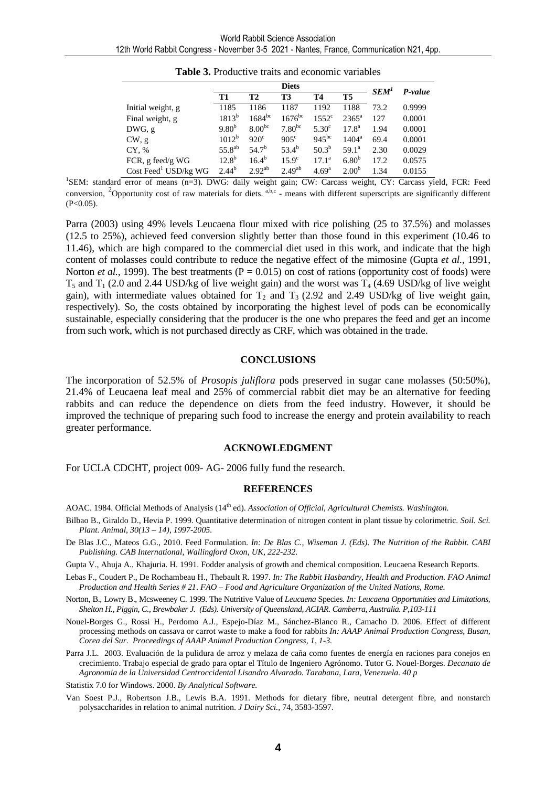|                                       | <b>Diets</b> |                    |                      |                   |                   | SEM' |         |
|---------------------------------------|--------------|--------------------|----------------------|-------------------|-------------------|------|---------|
|                                       | T1           | <b>T2</b>          | T3                   | <b>T4</b>         | T <sub>5</sub>    |      | P-value |
| Initial weight, g                     | 1185         | 1186               | 1187                 | 1192              | 1188              | 73.2 | 0.9999  |
| Final weight, g                       | $1813^{b}$   | $1684^{bc}$        | $1676$ <sup>bc</sup> | $1552^{\circ}$    | $2365^{\rm a}$    | 127  | 0.0001  |
| DWG, g                                | $9.80^{b}$   | 8.00 <sup>bc</sup> | 7.80 <sup>bc</sup>   | 5.30 <sup>c</sup> | $17.8^{\rm a}$    | 1.94 | 0.0001  |
| CW, g                                 | $1012^b$     | $920^{\circ}$      | $905^{\circ}$        | $945^{bc}$        | $1404^a$          | 69.4 | 0.0001  |
| CY, %                                 | $55.8^{ab}$  | $54.7^{b}$         | $53.4^{b}$           | $50.3^{b}$        | $59.1^a$          | 2.30 | 0.0029  |
| FCR, g feed/g $WG$                    | $12.8^{b}$   | $16.4^{b}$         | $15.9^\circ$         | $17.1^{\rm a}$    | 6.80 <sup>b</sup> | 17.2 | 0.0575  |
| $Cost$ Feed <sup>1</sup> USD/ $kg$ WG | $2.44^{b}$   | $2.92^{ab}$        | 2.49 <sup>ab</sup>   | 4.69 <sup>a</sup> | 2.00 <sup>b</sup> | 1.34 | 0.0155  |

| <b>Table 3.</b> Productive traits and economic variables |  |  |  |  |
|----------------------------------------------------------|--|--|--|--|
|----------------------------------------------------------|--|--|--|--|

1 SEM: standard error of means (n=3). DWG: daily weight gain; CW: Carcass weight, CY: Carcass yield, FCR: Feed conversion, <sup>2</sup>Opportunity cost of raw materials for diets.  $a,b,c$  - means with different superscripts are significantly different  $(P<0.05)$ .

Parra (2003) using 49% levels Leucaena flour mixed with rice polishing (25 to 37.5%) and molasses (12.5 to 25%), achieved feed conversion slightly better than those found in this experiment (10.46 to 11.46), which are high compared to the commercial diet used in this work, and indicate that the high content of molasses could contribute to reduce the negative effect of the mimosine (Gupta *et al.,* 1991, Norton *et al.*, 1999). The best treatments ( $P = 0.015$ ) on cost of rations (opportunity cost of foods) were  $T_5$  and  $T_1$  (2.0 and 2.44 USD/kg of live weight gain) and the worst was  $T_4$  (4.69 USD/kg of live weight gain), with intermediate values obtained for  $T_2$  and  $T_3$  (2.92 and 2.49 USD/kg of live weight gain, respectively). So, the costs obtained by incorporating the highest level of pods can be economically sustainable, especially considering that the producer is the one who prepares the feed and get an income from such work, which is not purchased directly as CRF, which was obtained in the trade.

#### **CONCLUSIONS**

The incorporation of 52.5% of *Prosopis juliflora* pods preserved in sugar cane molasses (50:50%), 21.4% of Leucaena leaf meal and 25% of commercial rabbit diet may be an alternative for feeding rabbits and can reduce the dependence on diets from the feed industry. However, it should be improved the technique of preparing such food to increase the energy and protein availability to reach greater performance.

#### **ACKNOWLEDGMENT**

For UCLA CDCHT, project 009- AG- 2006 fully fund the research.

#### **REFERENCES**

- AOAC. 1984. Official Methods of Analysis (14<sup>th</sup> ed). Association of Official, Agricultural Chemists. Washington.
- Bilbao B., Giraldo D., Hevia P. 1999. Quantitative determination of nitrogen content in plant tissue by colorimetric. *Soil. Sci. Plant. Animal*, *30(13 – 14), 1997-2005.*
- De Blas J.C., Mateos G.G., 2010. Feed Formulation. *In: De Blas C., Wiseman J. (Eds). The Nutrition of the Rabbit. CABI Publishing. CAB International, Wallingford Oxon*, *UK, 222-232.*
- Gupta V., Ahuja A., Khajuria. H. 1991. Fodder analysis of growth and chemical composition. Leucaena Research Reports.
- Lebas F., Coudert P., De Rochambeau H., Thebault R. 1997. *In: The Rabbit Hasbandry, Health and Production. FAO Animal Production and Health Series # 21*. *FAO – Food and Agriculture Organization of the United Nations, Rome.*
- Norton, B., Lowry B., Mcsweeney C. 1999. The Nutritive Value of *Leucaena* Species. *In: Leucaena Opportunities and Limitations, Shelton H., Piggin, C., Brewbaker J. (Eds). University of Queensland, ACIAR. Camberra, Australia. P,103-111*
- Nouel-Borges G., Rossi H., Perdomo A.J., Espejo-Díaz M., Sánchez-Blanco R., Camacho D. 2006. Effect of different processing methods on cassava or carrot waste to make a food for rabbits *In: AAAP Animal Production Congress, Busan, Corea del Sur. Proceedings of AAAP Animal Production Congress, 1, 1-3.*
- Parra J.L. 2003. Evaluación de la pulidura de arroz y melaza de caña como fuentes de energía en raciones para conejos en crecimiento. Trabajo especial de grado para optar el Título de Ingeniero Agrónomo. Tutor G. Nouel-Borges. *Decanato de Agronomia de la Universidad Centroccidental Lisandro Alvarado. Tarabana, Lara, Venezuela. 40 p*

Statistix 7.0 for Windows. 2000. *By Analytical Software.* 

Van Soest P.J., Robertson J.B., Lewis B.A. 1991. Methods for dietary fibre, neutral detergent fibre, and nonstarch polysaccharides in relation to animal nutrition. *J Dairy Sci.,* 74, 3583-3597.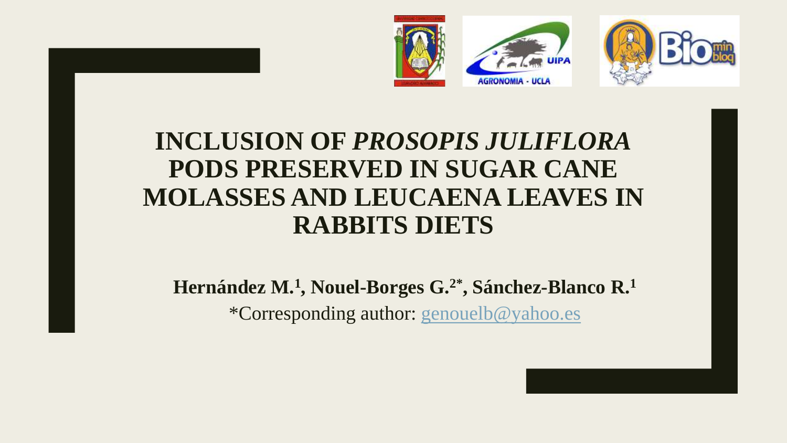

# **INCLUSION OF** *PROSOPIS JULIFLORA* **PODS PRESERVED IN SUGAR CANE MOLASSES AND LEUCAENA LEAVES IN RABBITS DIETS**

# **Hernández M.<sup>1</sup> , Nouel-Borges G.2\*, Sánchez-Blanco R.<sup>1</sup>** \*Corresponding author: [genouelb@yahoo.es](mailto:genouelb@yahoo.es)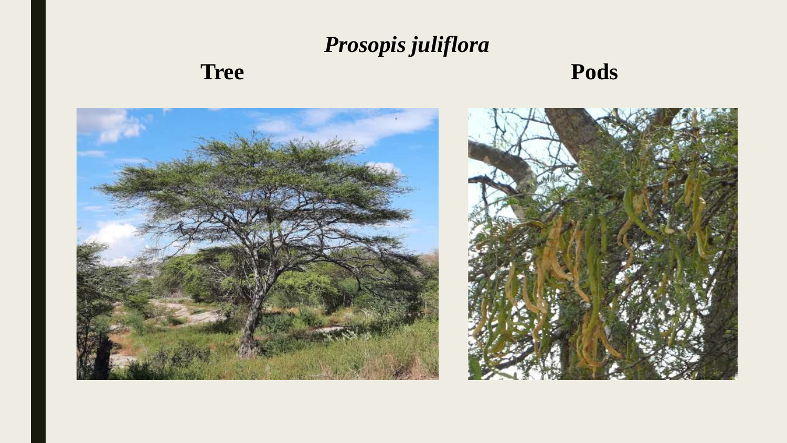# *Prosopis juliflora* **Tree** Pods

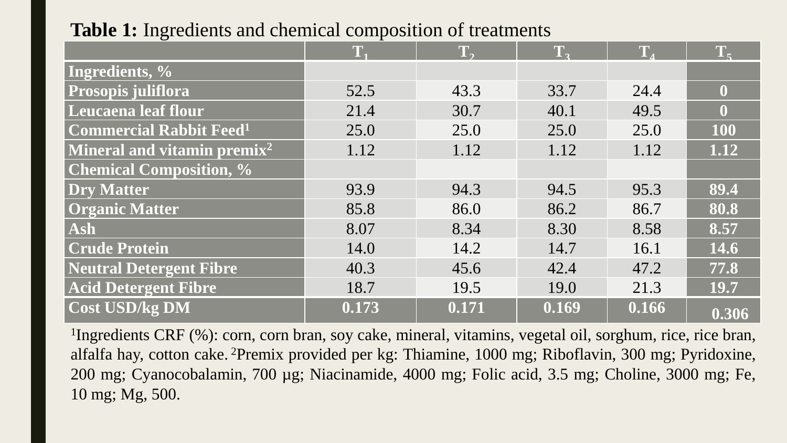## **Table 1:** Ingredients and chemical composition of treatments

|                                           | T.    | T,    | TA    | T.    | T <sub>z</sub> |
|-------------------------------------------|-------|-------|-------|-------|----------------|
| Ingredients, %                            |       |       |       |       |                |
| Prosopis juliflora                        | 52.5  | 43.3  | 33.7  | 24.4  | $\bf{0}$       |
| Leucaena leaf flour                       | 21.4  | 30.7  | 40.1  | 49.5  | $\bf{0}$       |
| <b>Commercial Rabbit Feed<sup>1</sup></b> | 25.0  | 25.0  | 25.0  | 25.0  | 100            |
| Mineral and vitamin premix <sup>2</sup>   | 1.12  | 1.12  | 1.12  | 1.12  | 1.12           |
| <b>Chemical Composition, %</b>            |       |       |       |       |                |
| <b>Dry Matter</b>                         | 93.9  | 94.3  | 94.5  | 95.3  | 89.4           |
| <b>Organic Matter</b>                     | 85.8  | 86.0  | 86.2  | 86.7  | 80.8           |
| Ash                                       | 8.07  | 8.34  | 8.30  | 8.58  | 8.57           |
| <b>Crude Protein</b>                      | 14.0  | 14.2  | 14.7  | 16.1  | 14.6           |
| <b>Neutral Detergent Fibre</b>            | 40.3  | 45.6  | 42.4  | 47.2  | 77.8           |
| <b>Acid Detergent Fibre</b>               | 18.7  | 19.5  | 19.0  | 21.3  | 19.7           |
| <b>Cost USD/kg DM</b>                     | 0.173 | 0.171 | 0.169 | 0.166 | 0.306          |

 Ingredients CRF (%): corn, corn bran, soy cake, mineral, vitamins, vegetal oil, sorghum, rice, rice bran, alfalfa hay, cotton cake. <sup>2</sup>Premix provided per kg: Thiamine, 1000 mg; Riboflavin, 300 mg; Pyridoxine, mg; Cyanocobalamin, 700 µg; Niacinamide, 4000 mg; Folic acid, 3.5 mg; Choline, 3000 mg; Fe, mg; Mg, 500.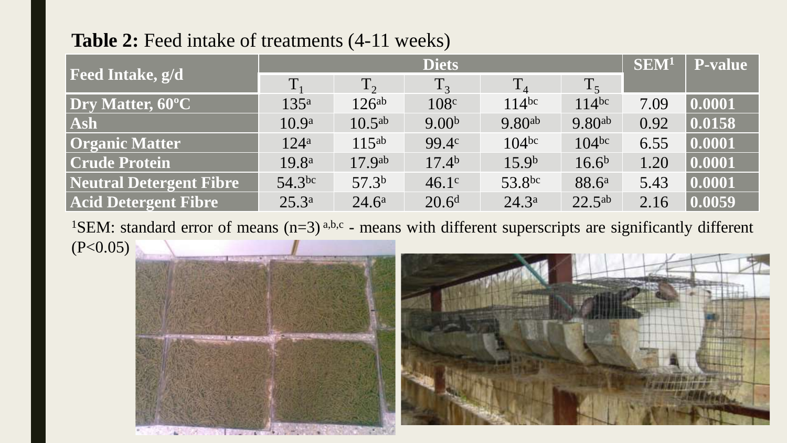## **Table 2:** Feed intake of treatments (4-11 weeks)

|                                | <b>Diets</b>      |                    |                   |                    |                    | SEM <sup>1</sup> | <b>P-value</b> |
|--------------------------------|-------------------|--------------------|-------------------|--------------------|--------------------|------------------|----------------|
| <b>Feed Intake, g/d</b>        | $T_{1}$           | $T_2$              | $T_3$             | $T_4$              | $T_5$              |                  |                |
| Dry Matter, 60°C               | 135 <sup>a</sup>  | $126^{ab}$         | 108 <sup>c</sup>  | $114^{bc}$         | $114$ bc           | 7.09             | 0.0001         |
| Ash                            | 10.9 <sup>a</sup> | $10.5^{ab}$        | 9.00 <sup>b</sup> | 9.80 <sup>ab</sup> | 9.80 <sup>ab</sup> | 0.92             | 0.0158         |
| <b>Organic Matter</b>          | 124 <sup>a</sup>  | $115^{ab}$         | 99.4c             | $104^{bc}$         | $104^{bc}$         | 6.55             | 0.0001         |
| <b>Crude Protein</b>           | 19.8 <sup>a</sup> | 17.9 <sup>ab</sup> | 17.4 <sup>b</sup> | 15.9 <sup>b</sup>  | $16.6^{b}$         | 1.20             | 0.0001         |
| <b>Neutral Detergent Fibre</b> | $54.3$ bc         | 57.3 <sup>b</sup>  | 46.1 <sup>c</sup> | 53.8bc             | 88.6 <sup>a</sup>  | 5.43             | 0.0001         |
| <b>Acid Detergent Fibre</b>    | $25.3^{\rm a}$    | $24.6^{\rm a}$     | $20.6^d$          | $24.3^{\rm a}$     | $22.5^{ab}$        | 2.16             | 0.0059         |

<sup>1</sup>SEM: standard error of means  $(n=3)$ <sup>a,b,c</sup> - means with different superscripts are significantly different  $(P<0.05)$ 

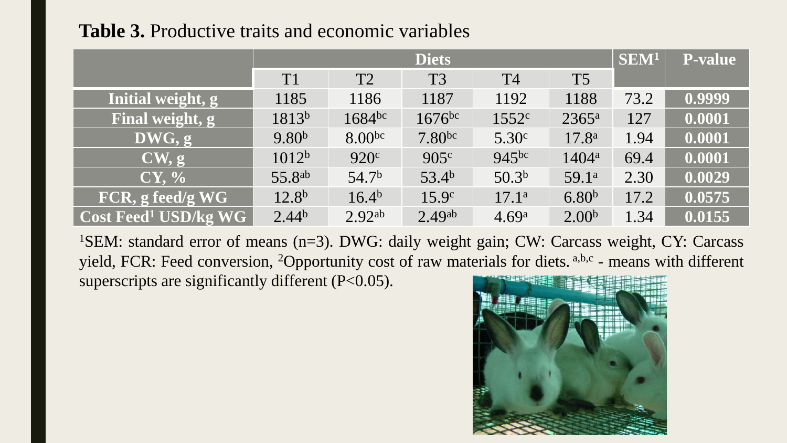## **Table 3.** Productive traits and economic variables

|                                                  | <b>Diets</b>       |                    |                      |                   |                   | SEM <sup>1</sup> | <b>P-value</b> |
|--------------------------------------------------|--------------------|--------------------|----------------------|-------------------|-------------------|------------------|----------------|
|                                                  | T <sub>1</sub>     | T2                 | T <sub>3</sub>       | T <sub>4</sub>    | T <sub>5</sub>    |                  |                |
| Initial weight, g                                | 1185               | 1186               | 1187                 | 1192              | 1188              | 73.2             | 0.9999         |
| Final weight, g                                  | 1813b              | 1684bc             | $1676$ <sup>bc</sup> | 1552c             | $2365^{\rm a}$    | 127              | 0.0001         |
| DWG, g                                           | 9.80 <sup>b</sup>  | 8.00 <sup>bc</sup> | 7.80 <sup>bc</sup>   | 5.30 <sup>c</sup> | 17.8 <sup>a</sup> | 1.94             | 0.0001         |
| CW, g                                            | 1012 <sup>b</sup>  | 920 <sup>c</sup>   | 905c                 | $945^{bc}$        | $1404^{\rm a}$    | 69.4             | 0.0001         |
| CY, %                                            | 55.8 <sup>ab</sup> | 54.7 <sup>b</sup>  | 53.4 <sup>b</sup>    | 50.3 <sup>b</sup> | 59.1 <sup>a</sup> | 2.30             | 0.0029         |
| FCR, g feed/g WG                                 | $12.8^{b}$         | 16.4 <sup>b</sup>  | 15.9 <sup>c</sup>    | 17.1 <sup>a</sup> | 6.80 <sup>b</sup> | 17.2             | 0.0575         |
| $\vert$ Cost Feed <sup>1</sup> USD/kg WG $\vert$ | $2.44^{b}$         | 2.92 <sup>ab</sup> | 2.49 <sup>ab</sup>   | 4.69 <sup>a</sup> | 2.00 <sup>b</sup> | 1.34             | 0.0155         |

<sup>1</sup>SEM: standard error of means (n=3). DWG: daily weight gain; CW: Carcass weight, CY: Carcass yield, FCR: Feed conversion, <sup>2</sup>Opportunity cost of raw materials for diets. a,b,c - means with different superscripts are significantly different (P<0.05).